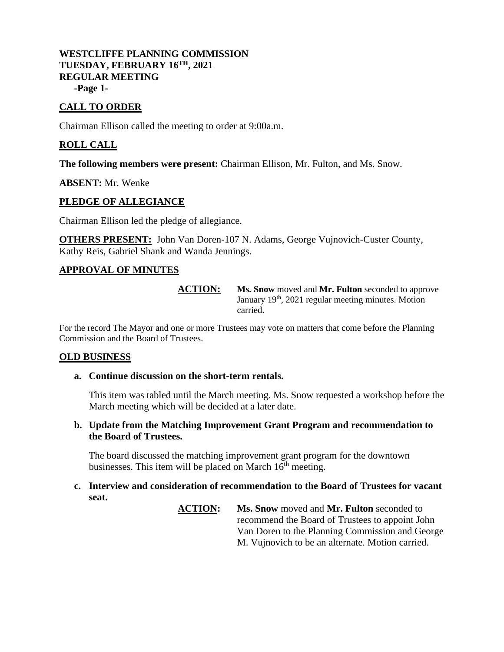## **WESTCLIFFE PLANNING COMMISSION TUESDAY, FEBRUARY 16 TH, 2021 REGULAR MEETING -Page 1-**

# **CALL TO ORDER**

Chairman Ellison called the meeting to order at 9:00a.m.

# **ROLL CALL**

**The following members were present:** Chairman Ellison, Mr. Fulton, and Ms. Snow.

### **ABSENT:** Mr. Wenke

## **PLEDGE OF ALLEGIANCE**

Chairman Ellison led the pledge of allegiance.

**OTHERS PRESENT:** John Van Doren-107 N. Adams, George Vujnovich-Custer County, Kathy Reis, Gabriel Shank and Wanda Jennings.

## **APPROVAL OF MINUTES**

**ACTION: Ms. Snow** moved and **Mr. Fulton** seconded to approve January 19<sup>th</sup>, 2021 regular meeting minutes. Motion carried.

For the record The Mayor and one or more Trustees may vote on matters that come before the Planning Commission and the Board of Trustees.

#### **OLD BUSINESS**

#### **a. Continue discussion on the short-term rentals.**

This item was tabled until the March meeting. Ms. Snow requested a workshop before the March meeting which will be decided at a later date.

### **b. Update from the Matching Improvement Grant Program and recommendation to the Board of Trustees.**

The board discussed the matching improvement grant program for the downtown businesses. This item will be placed on March  $16<sup>th</sup>$  meeting.

## **c. Interview and consideration of recommendation to the Board of Trustees for vacant seat.**

**ACTION: Ms. Snow** moved and **Mr. Fulton** seconded to recommend the Board of Trustees to appoint John Van Doren to the Planning Commission and George M. Vujnovich to be an alternate. Motion carried.